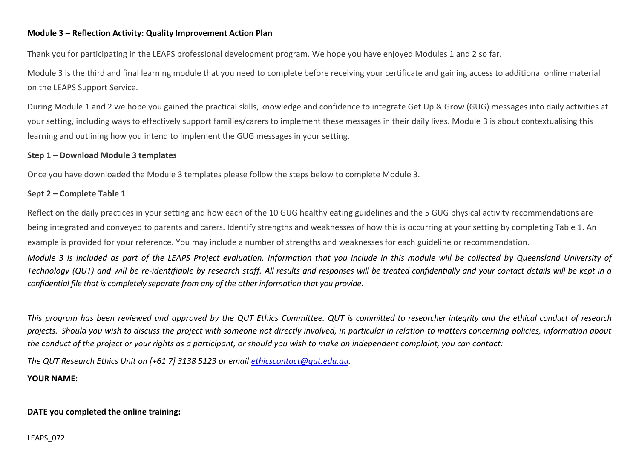### **Module 3 – Reflection Activity: Quality Improvement Action Plan**

Thank you for participating in the LEAPS professional development program. We hope you have enjoyed Modules 1 and 2 so far.

Module 3 is the third and final learning module that you need to complete before receiving your certificate and gaining access to additional online material on the LEAPS Support Service.

During Module 1 and 2 we hope you gained the practical skills, knowledge and confidence to integrate Get Up & Grow (GUG) messages into daily activities at your setting, including ways to effectively support families/carers to implement these messages in their daily lives. Module 3 is about contextualising this learning and outlining how you intend to implement the GUG messages in your setting.

#### **Step 1 – Download Module 3 templates**

Once you have downloaded the Module 3 templates please follow the steps below to complete Module 3.

#### **Sept 2 – Complete Table 1**

Reflect on the daily practices in your setting and how each of the 10 GUG healthy eating guidelines and the 5 GUG physical activity recommendations are being integrated and conveyed to parents and carers. Identify strengths and weaknesses of how this is occurring at your setting by completing Table 1. An example is provided for your reference. You may include a number of strengths and weaknesses for each guideline or recommendation.

*Module 3 is included as part of the LEAPS Project evaluation. Information that you include in this module will be collected by Queensland University of Technology (QUT) and will be re-identifiable by research staff. All results and responses will be treated confidentially and your contact details will be kept in a confidential file that is completely separate from any of the other information that you provide.* 

*This program has been reviewed and approved by the QUT Ethics Committee. QUT is committed to researcher integrity and the ethical conduct of research projects. Should you wish to discuss the project with someone not directly involved, in particular in relation to matters concerning policies, information about the conduct of the project or your rights as a participant, or should you wish to make an independent complaint, you can contact:*

*The QUT Research Ethics Unit on [+61 7] 3138 5123 or email [ethicscontact@qut.edu.au.](mailto:ethicscontact@qut.edu.au)*

**YOUR NAME:**

#### **DATE you completed the online training:**

LEAPS\_072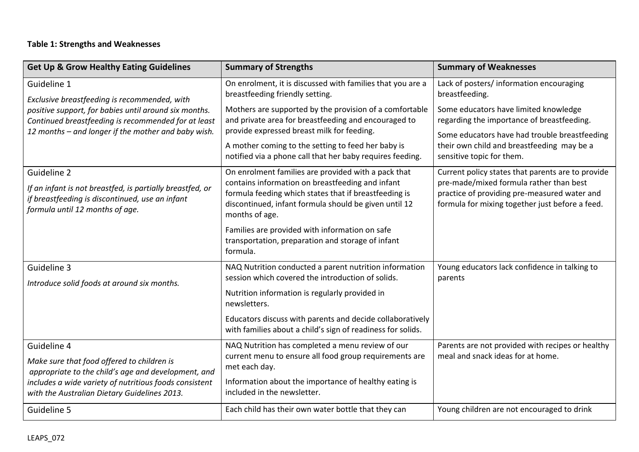# **Table 1: Strengths and Weaknesses**

| <b>Get Up &amp; Grow Healthy Eating Guidelines</b>                                                                                                                  | <b>Summary of Strengths</b>                                                                                                                                                          | <b>Summary of Weaknesses</b>                                                                                                               |
|---------------------------------------------------------------------------------------------------------------------------------------------------------------------|--------------------------------------------------------------------------------------------------------------------------------------------------------------------------------------|--------------------------------------------------------------------------------------------------------------------------------------------|
| Guideline 1<br>Exclusive breastfeeding is recommended, with                                                                                                         | On enrolment, it is discussed with families that you are a<br>breastfeeding friendly setting.                                                                                        | Lack of posters/ information encouraging<br>breastfeeding.                                                                                 |
| positive support, for babies until around six months.<br>Continued breastfeeding is recommended for at least<br>12 months - and longer if the mother and baby wish. | Mothers are supported by the provision of a comfortable<br>and private area for breastfeeding and encouraged to<br>provide expressed breast milk for feeding.                        | Some educators have limited knowledge<br>regarding the importance of breastfeeding.                                                        |
|                                                                                                                                                                     | A mother coming to the setting to feed her baby is<br>notified via a phone call that her baby requires feeding.                                                                      | Some educators have had trouble breastfeeding<br>their own child and breastfeeding may be a<br>sensitive topic for them.                   |
| Guideline 2                                                                                                                                                         | On enrolment families are provided with a pack that                                                                                                                                  | Current policy states that parents are to provide                                                                                          |
| If an infant is not breastfed, is partially breastfed, or<br>if breastfeeding is discontinued, use an infant<br>formula until 12 months of age.                     | contains information on breastfeeding and infant<br>formula feeding which states that if breastfeeding is<br>discontinued, infant formula should be given until 12<br>months of age. | pre-made/mixed formula rather than best<br>practice of providing pre-measured water and<br>formula for mixing together just before a feed. |
|                                                                                                                                                                     | Families are provided with information on safe<br>transportation, preparation and storage of infant<br>formula.                                                                      |                                                                                                                                            |
| Guideline 3<br>Introduce solid foods at around six months.                                                                                                          | NAQ Nutrition conducted a parent nutrition information<br>session which covered the introduction of solids.                                                                          | Young educators lack confidence in talking to<br>parents                                                                                   |
|                                                                                                                                                                     | Nutrition information is regularly provided in<br>newsletters.                                                                                                                       |                                                                                                                                            |
|                                                                                                                                                                     | Educators discuss with parents and decide collaboratively<br>with families about a child's sign of readiness for solids.                                                             |                                                                                                                                            |
| Guideline 4                                                                                                                                                         | NAQ Nutrition has completed a menu review of our                                                                                                                                     | Parents are not provided with recipes or healthy                                                                                           |
| Make sure that food offered to children is<br>appropriate to the child's age and development, and                                                                   | current menu to ensure all food group requirements are<br>met each day.                                                                                                              | meal and snack ideas for at home.                                                                                                          |
| includes a wide variety of nutritious foods consistent<br>with the Australian Dietary Guidelines 2013.                                                              | Information about the importance of healthy eating is<br>included in the newsletter.                                                                                                 |                                                                                                                                            |
| Guideline 5                                                                                                                                                         | Each child has their own water bottle that they can                                                                                                                                  | Young children are not encouraged to drink                                                                                                 |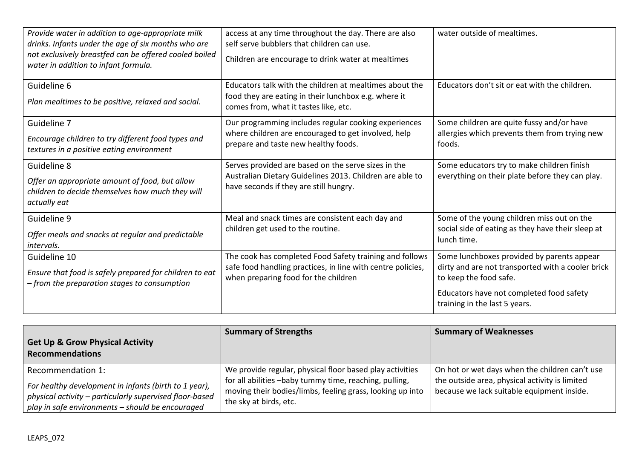| Provide water in addition to age-appropriate milk<br>drinks. Infants under the age of six months who are<br>not exclusively breastfed can be offered cooled boiled<br>water in addition to infant formula. | access at any time throughout the day. There are also<br>self serve bubblers that children can use.<br>Children are encourage to drink water at mealtimes      | water outside of mealtimes.                                                                                                                                                                            |
|------------------------------------------------------------------------------------------------------------------------------------------------------------------------------------------------------------|----------------------------------------------------------------------------------------------------------------------------------------------------------------|--------------------------------------------------------------------------------------------------------------------------------------------------------------------------------------------------------|
| Guideline 6<br>Plan mealtimes to be positive, relaxed and social.                                                                                                                                          | Educators talk with the children at mealtimes about the<br>food they are eating in their lunchbox e.g. where it<br>comes from, what it tastes like, etc.       | Educators don't sit or eat with the children.                                                                                                                                                          |
| Guideline 7<br>Encourage children to try different food types and<br>textures in a positive eating environment                                                                                             | Our programming includes regular cooking experiences<br>where children are encouraged to get involved, help<br>prepare and taste new healthy foods.            | Some children are quite fussy and/or have<br>allergies which prevents them from trying new<br>foods.                                                                                                   |
| Guideline 8<br>Offer an appropriate amount of food, but allow<br>children to decide themselves how much they will<br>actually eat                                                                          | Serves provided are based on the serve sizes in the<br>Australian Dietary Guidelines 2013. Children are able to<br>have seconds if they are still hungry.      | Some educators try to make children finish<br>everything on their plate before they can play.                                                                                                          |
| Guideline 9<br>Offer meals and snacks at regular and predictable<br>intervals.                                                                                                                             | Meal and snack times are consistent each day and<br>children get used to the routine.                                                                          | Some of the young children miss out on the<br>social side of eating as they have their sleep at<br>lunch time.                                                                                         |
| Guideline 10<br>Ensure that food is safely prepared for children to eat<br>- from the preparation stages to consumption                                                                                    | The cook has completed Food Safety training and follows<br>safe food handling practices, in line with centre policies,<br>when preparing food for the children | Some lunchboxes provided by parents appear<br>dirty and are not transported with a cooler brick<br>to keep the food safe.<br>Educators have not completed food safety<br>training in the last 5 years. |

| <b>Get Up &amp; Grow Physical Activity</b><br><b>Recommendations</b>                                                                                                 | <b>Summary of Strengths</b>                                                                                                                   | <b>Summary of Weaknesses</b>                                                                 |
|----------------------------------------------------------------------------------------------------------------------------------------------------------------------|-----------------------------------------------------------------------------------------------------------------------------------------------|----------------------------------------------------------------------------------------------|
| Recommendation 1:                                                                                                                                                    | We provide regular, physical floor based play activities                                                                                      | On hot or wet days when the children can't use                                               |
| For healthy development in infants (birth to 1 year),<br>physical activity - particularly supervised floor-based<br>play in safe environments - should be encouraged | for all abilities -baby tummy time, reaching, pulling,<br>moving their bodies/limbs, feeling grass, looking up into<br>the sky at birds, etc. | the outside area, physical activity is limited<br>because we lack suitable equipment inside. |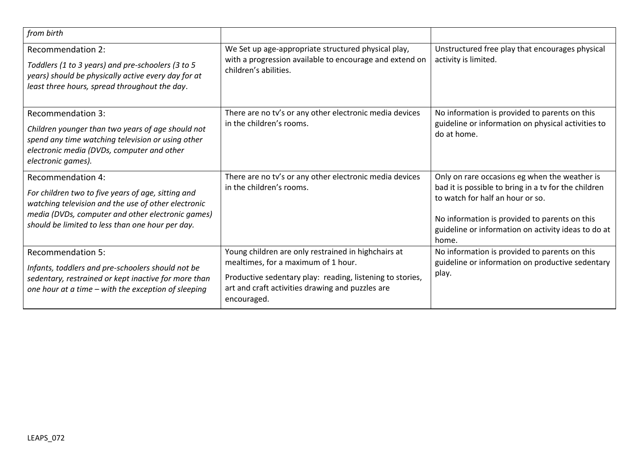| from birth                                                                                                                                                                                                                              |                                                                                                                                                                                                                            |                                                                                                                                                                                                                                                            |
|-----------------------------------------------------------------------------------------------------------------------------------------------------------------------------------------------------------------------------------------|----------------------------------------------------------------------------------------------------------------------------------------------------------------------------------------------------------------------------|------------------------------------------------------------------------------------------------------------------------------------------------------------------------------------------------------------------------------------------------------------|
| <b>Recommendation 2:</b><br>Toddlers (1 to 3 years) and pre-schoolers (3 to 5<br>years) should be physically active every day for at<br>least three hours, spread throughout the day.                                                   | We Set up age-appropriate structured physical play,<br>with a progression available to encourage and extend on<br>children's abilities.                                                                                    | Unstructured free play that encourages physical<br>activity is limited.                                                                                                                                                                                    |
| <b>Recommendation 3:</b><br>Children younger than two years of age should not<br>spend any time watching television or using other<br>electronic media (DVDs, computer and other<br>electronic games).                                  | There are no tv's or any other electronic media devices<br>in the children's rooms.                                                                                                                                        | No information is provided to parents on this<br>guideline or information on physical activities to<br>do at home.                                                                                                                                         |
| Recommendation 4:<br>For children two to five years of age, sitting and<br>watching television and the use of other electronic<br>media (DVDs, computer and other electronic games)<br>should be limited to less than one hour per day. | There are no tv's or any other electronic media devices<br>in the children's rooms.                                                                                                                                        | Only on rare occasions eg when the weather is<br>bad it is possible to bring in a tv for the children<br>to watch for half an hour or so.<br>No information is provided to parents on this<br>guideline or information on activity ideas to do at<br>home. |
| <b>Recommendation 5:</b><br>Infants, toddlers and pre-schoolers should not be<br>sedentary, restrained or kept inactive for more than<br>one hour at a time - with the exception of sleeping                                            | Young children are only restrained in highchairs at<br>mealtimes, for a maximum of 1 hour.<br>Productive sedentary play: reading, listening to stories,<br>art and craft activities drawing and puzzles are<br>encouraged. | No information is provided to parents on this<br>guideline or information on productive sedentary<br>play.                                                                                                                                                 |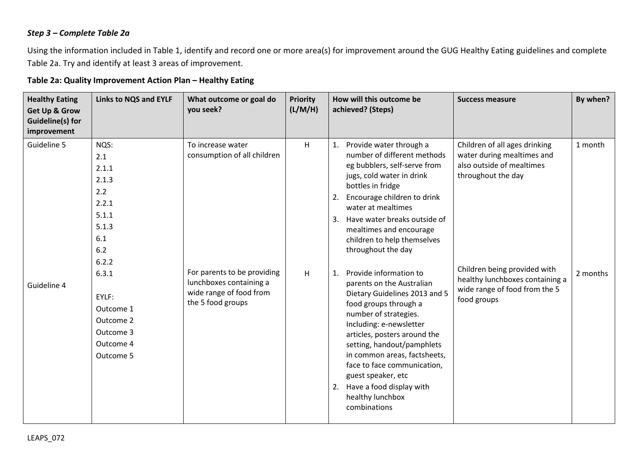## *Step 3 – Complete Table 2a*

Using the information included in Table 1, identify and record one or more area(s) for improvement around the GUG Healthy Eating guidelines and complete Table 2a. Try and identify at least 3 areas of improvement.

## **Table 2a: Quality Improvement Action Plan – Healthy Eating**

| <b>Healthy Eating</b><br><b>Get Up &amp; Grow</b><br><b>Guideline(s) for</b><br>improvement | <b>Links to NQS and EYLF</b>                                                           | What outcome or goal do<br>you seek?                                                                   | <b>Priority</b><br>(L/M/H) | How will this outcome be<br>achieved? (Steps)                                                                                                                                                                                                                                                                                                                                                    | <b>Success measure</b>                                                                                          | By when? |
|---------------------------------------------------------------------------------------------|----------------------------------------------------------------------------------------|--------------------------------------------------------------------------------------------------------|----------------------------|--------------------------------------------------------------------------------------------------------------------------------------------------------------------------------------------------------------------------------------------------------------------------------------------------------------------------------------------------------------------------------------------------|-----------------------------------------------------------------------------------------------------------------|----------|
| Guideline 5                                                                                 | NQS:<br>2.1<br>2.1.1<br>2.1.3<br>2.2<br>2.2.1<br>5.1.1<br>5.1.3<br>6.1<br>6.2<br>6.2.2 | To increase water<br>consumption of all children                                                       | H                          | Provide water through a<br>1.<br>number of different methods<br>eg bubblers, self-serve from<br>jugs, cold water in drink<br>bottles in fridge<br>Encourage children to drink<br>2.<br>water at mealtimes<br>3. Have water breaks outside of<br>mealtimes and encourage<br>children to help themselves<br>throughout the day                                                                     | Children of all ages drinking<br>water during mealtimes and<br>also outside of mealtimes<br>throughout the day  | 1 month  |
| Guideline 4                                                                                 | 6.3.1<br>EYLF:<br>Outcome 1<br>Outcome 2<br>Outcome 3<br>Outcome 4<br>Outcome 5        | For parents to be providing<br>lunchboxes containing a<br>wide range of food from<br>the 5 food groups | H                          | Provide information to<br>1.<br>parents on the Australian<br>Dietary Guidelines 2013 and 5<br>food groups through a<br>number of strategies.<br>Including: e-newsletter<br>articles, posters around the<br>setting, handout/pamphlets<br>in common areas, factsheets,<br>face to face communication,<br>guest speaker, etc<br>Have a food display with<br>2.<br>healthy lunchbox<br>combinations | Children being provided with<br>healthy lunchboxes containing a<br>wide range of food from the 5<br>food groups | 2 months |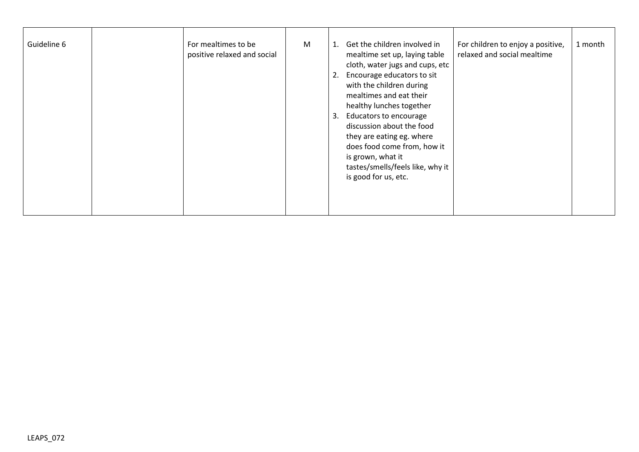| Guideline 6 | For mealtimes to be<br>positive relaxed and social | M | Get the children involved in<br>For children to enjoy a positive,<br>relaxed and social mealtime<br>mealtime set up, laying table<br>cloth, water jugs and cups, etc<br>Encourage educators to sit<br>with the children during<br>mealtimes and eat their<br>healthy lunches together<br>Educators to encourage<br>discussion about the food<br>they are eating eg. where<br>does food come from, how it<br>is grown, what it<br>tastes/smells/feels like, why it<br>is good for us, etc. | 1 month |
|-------------|----------------------------------------------------|---|-------------------------------------------------------------------------------------------------------------------------------------------------------------------------------------------------------------------------------------------------------------------------------------------------------------------------------------------------------------------------------------------------------------------------------------------------------------------------------------------|---------|
|             |                                                    |   |                                                                                                                                                                                                                                                                                                                                                                                                                                                                                           |         |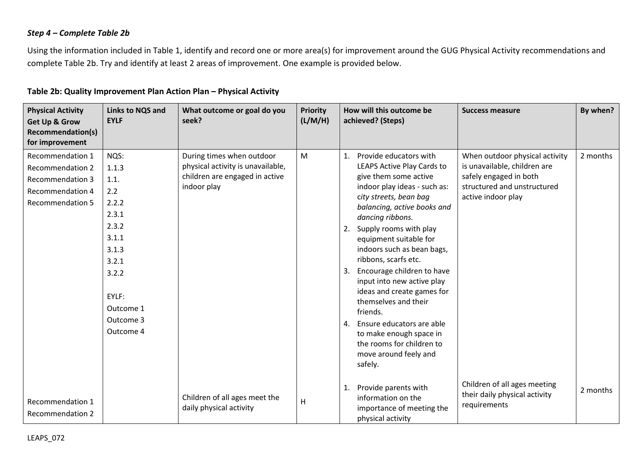## *Step 4 – Complete Table 2b*

Using the information included in Table 1, identify and record one or more area(s) for improvement around the GUG Physical Activity recommendations and complete Table 2b. Try and identify at least 2 areas of improvement. One example is provided below.

### **Table 2b: Quality Improvement Plan Action Plan – Physical Activity**

| <b>Physical Activity</b><br><b>Get Up &amp; Grow</b><br><b>Recommendation(s)</b><br>for improvement                   | Links to NQS and<br><b>EYLF</b>                                                                                                             | What outcome or goal do you<br>seek?                                                                            | <b>Priority</b><br>(L/M/H) | How will this outcome be<br>achieved? (Steps)                                                                                                                                                                                                                                                                                                                                                                                                                                                                                                                                       | <b>Success measure</b>                                                                                                                        | By when? |
|-----------------------------------------------------------------------------------------------------------------------|---------------------------------------------------------------------------------------------------------------------------------------------|-----------------------------------------------------------------------------------------------------------------|----------------------------|-------------------------------------------------------------------------------------------------------------------------------------------------------------------------------------------------------------------------------------------------------------------------------------------------------------------------------------------------------------------------------------------------------------------------------------------------------------------------------------------------------------------------------------------------------------------------------------|-----------------------------------------------------------------------------------------------------------------------------------------------|----------|
| Recommendation 1<br><b>Recommendation 2</b><br><b>Recommendation 3</b><br>Recommendation 4<br><b>Recommendation 5</b> | NQS:<br>1.1.3<br>1.1.<br>2.2<br>2.2.2<br>2.3.1<br>2.3.2<br>3.1.1<br>3.1.3<br>3.2.1<br>3.2.2<br>EYLF:<br>Outcome 1<br>Outcome 3<br>Outcome 4 | During times when outdoor<br>physical activity is unavailable,<br>children are engaged in active<br>indoor play | M                          | Provide educators with<br>1.<br>LEAPS Active Play Cards to<br>give them some active<br>indoor play ideas - such as:<br>city streets, bean bag<br>balancing, active books and<br>dancing ribbons.<br>Supply rooms with play<br>2.<br>equipment suitable for<br>indoors such as bean bags,<br>ribbons, scarfs etc.<br>Encourage children to have<br>3.<br>input into new active play<br>ideas and create games for<br>themselves and their<br>friends.<br>Ensure educators are able<br>4.<br>to make enough space in<br>the rooms for children to<br>move around feely and<br>safely. | When outdoor physical activity<br>is unavailable, children are<br>safely engaged in both<br>structured and unstructured<br>active indoor play | 2 months |
| Recommendation 1<br><b>Recommendation 2</b>                                                                           |                                                                                                                                             | Children of all ages meet the<br>daily physical activity                                                        | H                          | Provide parents with<br>$\mathbf{1}$<br>information on the<br>importance of meeting the<br>physical activity                                                                                                                                                                                                                                                                                                                                                                                                                                                                        | Children of all ages meeting<br>their daily physical activity<br>requirements                                                                 | 2 months |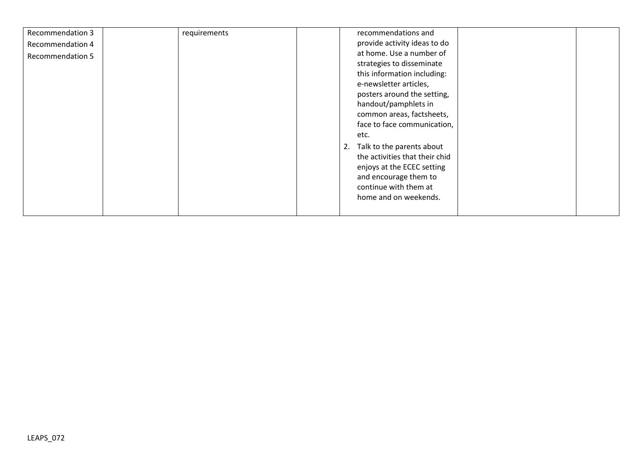| Recommendation 3<br><b>Recommendation 4</b><br><b>Recommendation 5</b> | requirements | recommendations and<br>provide activity ideas to do<br>at home. Use a number of<br>strategies to disseminate<br>this information including:<br>e-newsletter articles,<br>posters around the setting,<br>handout/pamphlets in<br>common areas, factsheets,<br>face to face communication,<br>etc.<br>Talk to the parents about<br>2.<br>the activities that their chid<br>enjoys at the ECEC setting<br>and encourage them to<br>continue with them at<br>home and on weekends. |
|------------------------------------------------------------------------|--------------|--------------------------------------------------------------------------------------------------------------------------------------------------------------------------------------------------------------------------------------------------------------------------------------------------------------------------------------------------------------------------------------------------------------------------------------------------------------------------------|
|------------------------------------------------------------------------|--------------|--------------------------------------------------------------------------------------------------------------------------------------------------------------------------------------------------------------------------------------------------------------------------------------------------------------------------------------------------------------------------------------------------------------------------------------------------------------------------------|